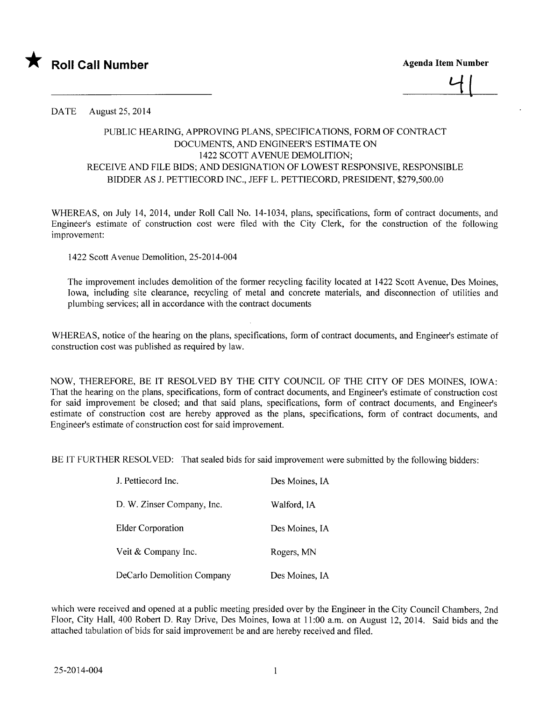



DATE August 25, 2014

## PUBLIC HEARING, APPROVING PLANS, SPECIFICATIONS, FORM OF CONTRACT DOCUMENTS, AND ENGINEER'S ESTIMATE ON 1422 SCOTT A VENUE DEMOLITION; RECEIVE AND FILE BIDS; AND DESIGNATION OF LOWEST RESPONSIVE, RESPONSIBLE BIDDER AS J. PETTIECORD INC., JEFF L. PETTIECORD, PRESIDENT, \$279,500.00

WHEREAS, on July 14, 2014, under Roll Call No. 14-1034, plans, specifications, form of contract documents, and Engineer's estimate of construction cost were fied with the City Clerk, for the construction of the following improvement:

1422 Scott Avenue Demolition, 25-2014-004

The improvement includes demolition of the former recycling facility located at 1422 Scott A venue, Des Moines, Iowa, including site clearance, recycling of metal and concrete materials, and disconnection of utilities and plumbing services; all in accordance with the contract documents

WHEREAS, notice of the hearing on the plans, specifications, form of contract documents, and Engineer's estimate of construction cost was published as required by law.

NOW, THEREFORE, BE IT RESOLVED BY THE CITY COUNCIL OF THE CITY OF DES MOINS, IOWA: That the hearing on the plans, specifications, form of contract documents, and Engineer's estimate of construction cost for said improvement be closed; and that said plans, specifications, form of contract documents, and Engineer's estimate of construction cost are hereby approved as the plans, specifications, form of contract documents, and Engineer's estimate of construction cost for said improvement.

BE IT FURTHER RESOLVED: That sealed bids for said improvement were submitted by the following bidders:

| J. Pettiecord Inc.         | Des Moines, IA |
|----------------------------|----------------|
| D. W. Zinser Company, Inc. | Walford, IA    |
| <b>Elder Corporation</b>   | Des Moines, IA |
| Veit & Company Inc.        | Rogers, MN     |
| DeCarlo Demolition Company | Des Moines, IA |

which were received and opened at a public meeting presided over by the Engineer in the City Council Chambers, 2nd Floor, City Hall, 400 Robert D. Ray Drive, Des Moines, Iowa at 11:00 a.m. on August 12,2014. Said bids and the attached tabulation of bids for said improvement be and are hereby received and fied.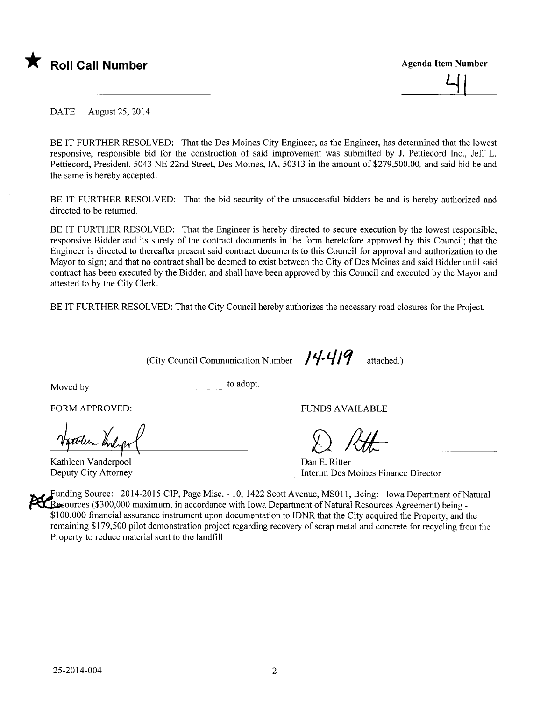

 $\overline{\mathcal{L}}$ 

DATE August 25, 2014

BE IT FURTHER RESOLVED: That the Des Moines City Engineer, as the Engineer, has determined that the lowest responsive, responsible bid for the construction of said improvement was submitted by J. Pettiecord Inc., Jeff L. Pettie cord, President, 5043 NE 22nd Street, Des Moines, lA, 50313 in the amount of \$279,500.00, and said bid be and the same is hereby accepted.

BE IT FURTHER RESOLVED: That the bid security of the unsuccessful bidders be and is hereby authorized and directed to be returned.

BE IT FURTHER RESOLVED: That the Engineer is hereby directed to secure execution by the lowest responsible, responsive Bidder and its surety of the contract documents in the form heretofore approved by this Council; that the Engineer is directed to thereafter present said contract documents to this Council for approval and authorization to the Mayor to sign; and that no contract shall be deemed to exist between the City of Des Moines and said Bidder until said contract has been executed by the Bidder, and shall have been approved by this Council and executed by the Mayor and attested to by the City Clerk.

BE IT FURTHER RESOLVED: That the City Council hereby authorizes the necessary road closures for the Project.

(City Council Communication Number  $/4-4/9$  attached.)

Moved by to adopt.

FORM APPROVED:

Kathleen Vanderpool Deputy City Attorney

FUNDS AVAILABLE

f) M-

Dan E. Ritter Interim Des Moines Finance Director

Funding Source: 2014-2015 CIP, Page Misc. - 10, 1422 Scott Avenue, MS011, Being: Iowa Department of Natural **Examble (\$300,000 maximum, in accordance with Iowa Department of Natural Resources Agreement) being -**\$100,000 financial assurance instrument upon documentation to IDNR that the City acquired the Property, and the remaining \$179,500 pilot demonstration project regarding recovery of scrap metal and concrete for recycling from the Property to reduce material sent to the landfill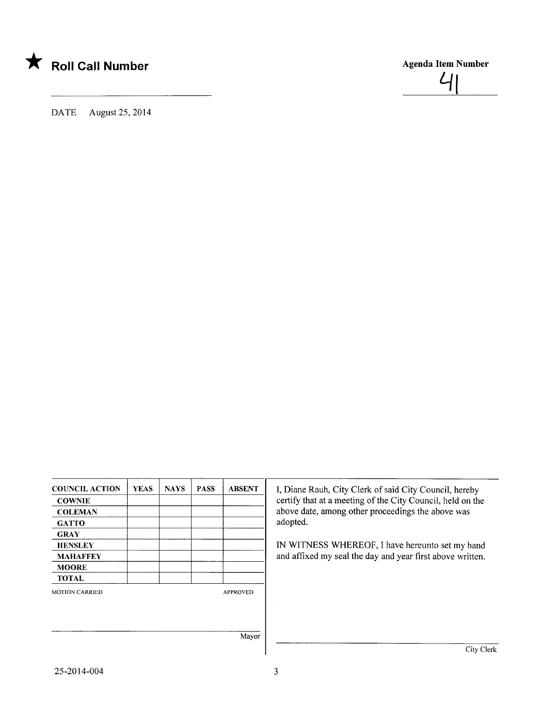

DATE August 25, 2014

COUNCIL ACTION | YEAS | NAYS | PASS | ABSENT **COWNIE COLEMAN GATTO** GRAY **HENSLEY** MAHAFFEY **MOORE** TOTAL MOTION CARRIED APPROVED Mayor I, Diane Rauh, City Clerk of said City Council, hereby certify that at a meeting of the City Council, held on the above date, among other proceedings the above was adopted. IN WITNESS WHEREOF, I have hereunto set my hand and affixed my seal the day and year first above written. City Clerk

Agenda Item Number

 $\mathcal{A}$